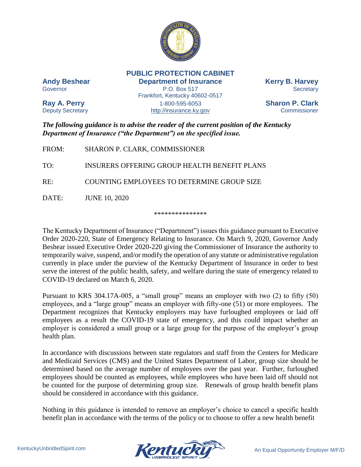

**PUBLIC PROTECTION CABINET**

**Andy Beshear Department of Insurance Kerry B. Harvey** Governor **EXECUTE:** P.O. Box 517 Secretary **Secretary** Frankfort, Kentucky 40602-0517 **Ray A. Perry** 1-800-595-6053 **Sharon P. Clark** Deputy Secretary **Example 20** [http://insurance.ky.gov](http://insurance.ky.gov/) Commissioner

*The following guidance is to advise the reader of the current position of the Kentucky Department of Insurance ("the Department") on the specified issue.* 

| FROM: | SHARON P. CLARK, COMMISSIONER                |
|-------|----------------------------------------------|
| TO:   | INSURERS OFFERING GROUP HEALTH BENEFIT PLANS |
| RE:   | COUNTING EMPLOYEES TO DETERMINE GROUP SIZE   |
| DATE: | <b>JUNE 10, 2020</b>                         |

\*\*\*\*\*\*\*\*\*\*\*\*\*\*\*

The Kentucky Department of Insurance ("Department") issues this guidance pursuant to Executive Order 2020-220, State of Emergency Relating to Insurance. On March 9, 2020, Governor Andy Beshear issued Executive Order 2020-220 giving the Commissioner of Insurance the authority to temporarily waive, suspend, and/or modify the operation of any statute or administrative regulation currently in place under the purview of the Kentucky Department of Insurance in order to best serve the interest of the public health, safety, and welfare during the state of emergency related to COVID-19 declared on March 6, 2020.

Pursuant to KRS 304.17A-005, a "small group" means an employer with two (2) to fifty (50) employees, and a "large group" means an employer with fifty-one (51) or more employees. The Department recognizes that Kentucky employers may have furloughed employees or laid off employees as a result the COVID-19 state of emergency, and this could impact whether an employer is considered a small group or a large group for the purpose of the employer's group health plan.

In accordance with discussions between state regulators and staff from the Centers for Medicare and Medicaid Services (CMS) and the United States Department of Labor, group size should be determined based on the average number of employees over the past year. Further, furloughed employees should be counted as employees, while employees who have been laid off should not be counted for the purpose of determining group size. Renewals of group health benefit plans should be considered in accordance with this guidance.

Nothing in this guidance is intended to remove an employer's choice to cancel a specific health benefit plan in accordance with the terms of the policy or to choose to offer a new health benefit